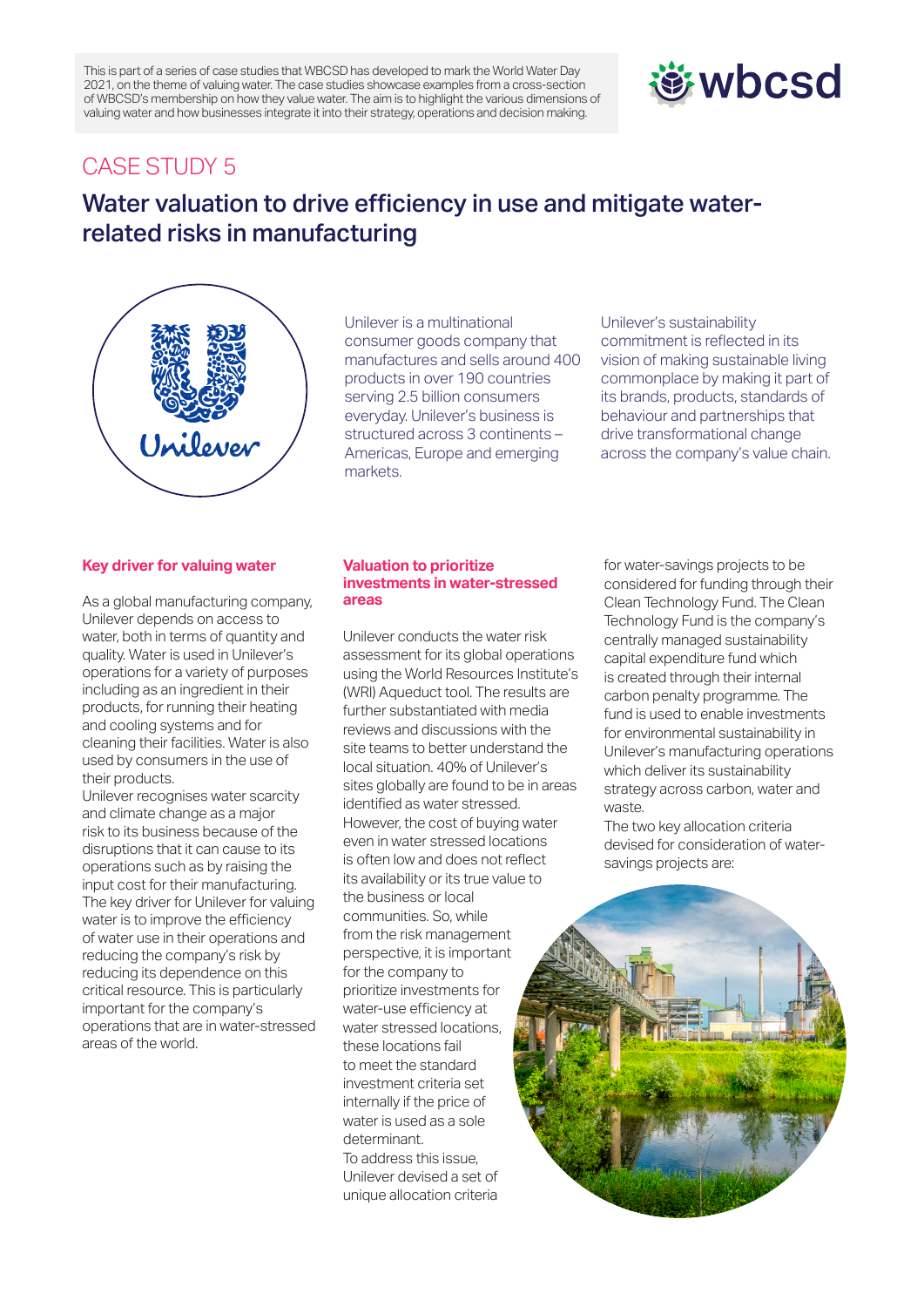This is part of a series of case studies that WBCSD has developed to mark the World Water Day 2021, on the theme of valuing water. The case studies showcase examples from a cross-section of WBCSD's membership on how they value water. The aim is to highlight the various dimensions of valuing water and how businesses integrate it into their strategy, operations and decision making.

# **遊wbcsd**

### CASE STUDY 5

## Water valuation to drive efficiency in use and mitigate waterrelated risks in manufacturing



Unilever is a multinational consumer goods company that manufactures and sells around 400 products in over 190 countries serving 2.5 billion consumers everyday. Unilever's business is structured across 3 continents – Americas, Europe and emerging markets.

Unilever's sustainability commitment is reflected in its vision of making sustainable living commonplace by making it part of its brands, products, standards of behaviour and partnerships that drive transformational change across the company's value chain.

#### **Key driver for valuing water**

As a global manufacturing company, Unilever depends on access to water, both in terms of quantity and quality. Water is used in Unilever's operations for a variety of purposes including as an ingredient in their products, for running their heating and cooling systems and for cleaning their facilities. Water is also used by consumers in the use of their products.

Unilever recognises water scarcity and climate change as a major risk to its business because of the disruptions that it can cause to its operations such as by raising the input cost for their manufacturing. The key driver for Unilever for valuing water is to improve the efficiency of water use in their operations and reducing the company's risk by reducing its dependence on this critical resource. This is particularly important for the company's operations that are in water-stressed areas of the world.

#### **Valuation to prioritize investments in water-stressed areas**

Unilever conducts the water risk assessment for its global operations using the World Resources Institute's (WRI) Aqueduct tool. The results are further substantiated with media reviews and discussions with the site teams to better understand the local situation. 40% of Unilever's sites globally are found to be in areas identified as water stressed. However, the cost of buying water even in water stressed locations is often low and does not reflect its availability or its true value to the business or local communities. So, while from the risk management perspective, it is important for the company to prioritize investments for water-use efficiency at water stressed locations, these locations fail to meet the standard investment criteria set internally if the price of water is used as a sole determinant. To address this issue, Unilever devised a set of

unique allocation criteria

for water-savings projects to be considered for funding through their Clean Technology Fund. The Clean Technology Fund is the company's centrally managed sustainability capital expenditure fund which is created through their internal carbon penalty programme. The fund is used to enable investments for environmental sustainability in Unilever's manufacturing operations which deliver its sustainability strategy across carbon, water and waste.

The two key allocation criteria devised for consideration of watersavings projects are: